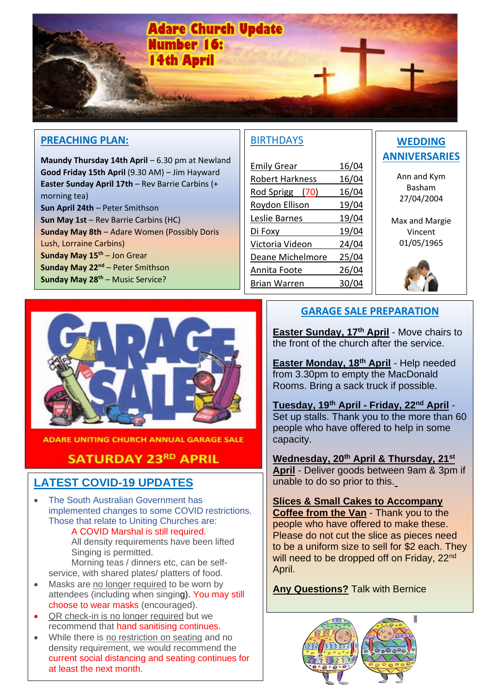

#### **PREACHING PLAN:**

**Maundy Thursday 14th April** – 6.30 pm at Newland **Good Friday 15th April** (9.30 AM) – Jim Hayward **Easter Sunday April 17th** – Rev Barrie Carbins (+ morning tea) **Sun April 24th** – Peter Smithson **Sun May 1st** – Rev Barrie Carbins (HC) **Sunday May 8th** – Adare Women (Possibly Doris Lush, Lorraine Carbins) **Sunday May 15th** – Jon Grear **Sunday May 22nd** – Peter Smithson **Sunday May 28th** – Music Service?

## **BIRTHDAYS**

| <b>Emily Grear</b>     | 16/04 |
|------------------------|-------|
| <b>Robert Harkness</b> | 16/04 |
| Rod Sprigg (70)        | 16/04 |
| Roydon Ellison         | 19/04 |
| Leslie Barnes          | 19/04 |
| Di Foxy                | 19/04 |
| Victoria Videon        | 24/04 |
| Deane Michelmore       | 25/04 |
| Annita Foote           | 26/04 |
| Brian Warren           | 30    |
|                        |       |

# **WEDDING ANNIVERSARIES**

Ann and Kym Basham 27/04/2004

Max and Margie Vincent 01/05/1965





**ADARE UNITING CHURCH ANNUAL GARAGE SALE** 

## **SATURDAY 23RD APRIL**

# **LATEST COVID-19 UPDATES**

• The South Australian Government has implemented changes to some COVID restrictions. Those that relate to Uniting Churches are: A COVID Marshal is still required. All density requirements have been lifted Singing is permitted. Morning teas / dinners etc, can be selfservice, with shared plates/ platters of food.

- Masks are no longer required to be worn by attendees (including when singing). You may still choose to wear masks (encouraged).
- QR check-in is no longer required but we recommend that hand sanitising continues.
- While there is no restriction on seating and no density requirement, we would recommend the current social distancing and seating continues for at least the next month.

## **GARAGE SALE PREPARATION**

**Easter Sunday, 17th April** - Move chairs to the front of the church after the service.

**Easter Monday, 18th April** - Help needed from 3.30pm to empty the MacDonald Rooms. Bring a sack truck if possible.

**Tuesday, 19th April - Friday, 22nd April** - Set up stalls. Thank you to the more than 60 people who have offered to help in some capacity.

**Wednesday, 20th April & Thursday, 21st**

**April** - Deliver goods between 9am & 3pm if unable to do so prior to this.

**Slices & Small Cakes to Accompany Coffee from the Van** - Thank you to the people who have offered to make these. Please do not cut the slice as pieces need to be a uniform size to sell for \$2 each. They will need to be dropped off on Friday, 22<sup>nd</sup> April.

**Any Questions?** Talk with Bernice